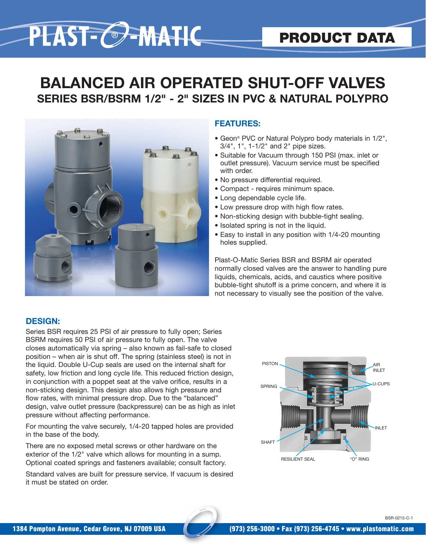# PLAST-C-MATIC

## **BALANCED AIR OPERATED SHUT-OFF VALVES SERIES BSR/BSRM 1/2" - 2" SIZES IN PVC & NATURAL POLYPRO**



#### **FEATURES:**

- Geon® PVC or Natural Polypro body materials in 1/2", 3/4", 1", 1-1/2" and 2" pipe sizes.
- Suitable for Vacuum through 150 PSI (max. inlet or outlet pressure). Vacuum service must be specified with order.
- No pressure differential required.
- Compact requires minimum space.
- Long dependable cycle life.
- Low pressure drop with high flow rates.
- Non-sticking design with bubble-tight sealing.
- Isolated spring is not in the liquid.
- Easy to install in any position with 1/4-20 mounting holes supplied.

Plast-O-Matic Series BSR and BSRM air operated normally closed valves are the answer to handling pure liquids, chemicals, acids, and caustics where positive bubble-tight shutoff is a prime concern, and where it is not necessary to visually see the position of the valve.

#### **DESIGN:**

Series BSR requires 25 PSI of air pressure to fully open; Series BSRM requires 50 PSI of air pressure to fully open. The valve closes automatically via spring – also known as fail-safe to closed position – when air is shut off. The spring (stainless steel) is not in the liquid. Double U-Cup seals are used on the internal shaft for safety, low friction and long cycle life. This reduced friction design, in conjunction with a poppet seat at the valve orifice, results in a non-sticking design. This design also allows high pressure and flow rates, with minimal pressure drop. Due to the "balanced" design, valve outlet pressure (backpressure) can be as high as inlet pressure without affecting performance.

For mounting the valve securely, 1/4-20 tapped holes are provided in the base of the body.

There are no exposed metal screws or other hardware on the exterior of the 1/2" valve which allows for mounting in a sump. Optional coated springs and fasteners available; consult factory.

Standard valves are built for pressure service. If vacuum is desired it must be stated on order.



BSR-0215-C-1